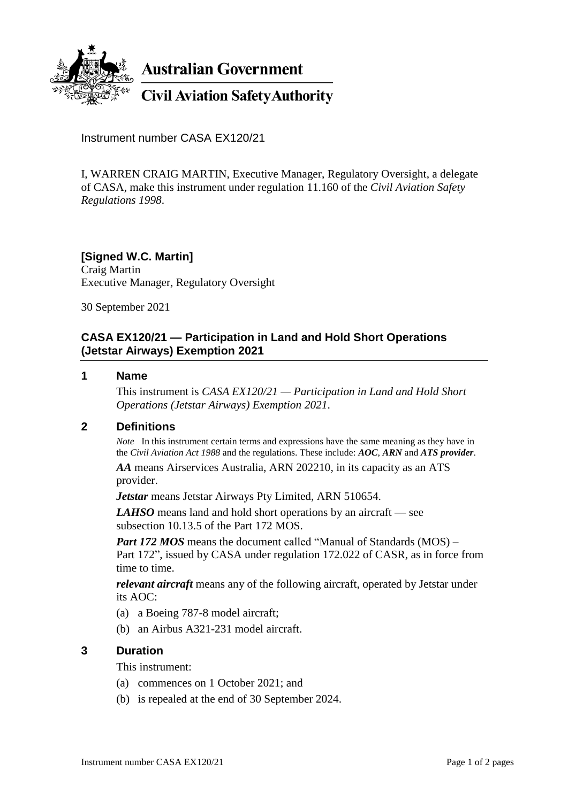

**Australian Government** 

**Civil Aviation Safety Authority** 

Instrument number CASA EX120/21

I, WARREN CRAIG MARTIN, Executive Manager, Regulatory Oversight, a delegate of CASA, make this instrument under regulation 11.160 of the *Civil Aviation Safety Regulations 1998*.

#### **[Signed W.C. Martin]** Craig Martin Executive Manager, Regulatory Oversight

30 September 2021

# **CASA EX120/21 — Participation in Land and Hold Short Operations (Jetstar Airways) Exemption 2021**

#### **1 Name**

This instrument is *CASA EX120/21 — Participation in Land and Hold Short Operations (Jetstar Airways) Exemption 2021*.

## **2 Definitions**

*Note* In this instrument certain terms and expressions have the same meaning as they have in the *Civil Aviation Act 1988* and the regulations. These include: *AOC*, *ARN* and *ATS provider*.

*AA* means Airservices Australia, ARN 202210, in its capacity as an ATS provider.

*Jetstar* means Jetstar Airways Pty Limited, ARN 510654.

*LAHSO* means land and hold short operations by an aircraft — see subsection 10.13.5 of the Part 172 MOS.

*Part 172 MOS* means the document called "Manual of Standards (MOS) – Part 172", issued by CASA under regulation 172.022 of CASR, as in force from time to time.

*relevant aircraft* means any of the following aircraft, operated by Jetstar under its AOC:

- (a) a Boeing 787-8 model aircraft;
- (b) an Airbus A321-231 model aircraft.

## **3 Duration**

This instrument:

- (a) commences on 1 October 2021; and
- (b) is repealed at the end of 30 September 2024.